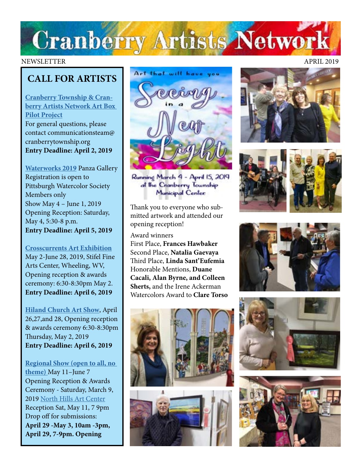# **Cranberry Artists Network**

## **CALL FOR ARTISTS**

**[Cranberry Township & Cran](http://www.CranberryTownship.org/ArtBox)[berry Artists Network Art Box](http://www.CranberryTownship.org/ArtBox)  [Pilot Project](http://www.CranberryTownship.org/ArtBox)** For general questions, please contact communicationsteam@ cranberrytownship.org **Entry Deadline: April 2, 2019**

**[Waterworks 2019](https://www.pittsburghwatercolorsociety.com/Waterworks)** Panza Gallery Registration is open to Pittsburgh Watercolor Society Members only Show May 4 – June 1, 2019 Opening Reception: Saturday, May 4, 5:30-8 p.m. **Entry Deadline: April 5, 2019**

## **[Crosscurrents Art Exhibition](https://oionline.com/stifel/crosscurrents/?fbclid=IwAR3CizygKaRyQIdY2c8zTrbScHtbwvUMNVzu8Ftpq63lx9mr44BsJ-qP9s4)**

May 2-June 28, 2019, Stifel Fine Arts Center, Wheeling, WV, Opening reception & awards ceremony: 6:30-8:30pm May 2. **Entry Deadline: April 6, 2019**

**[Hiland Church Art Show](http://www.hilandchurch.org)**, April 26,27,and 28, Opening reception & awards ceremony 6:30-8:30pm Thursday, May 2, 2019 **Entry Deadline: April 6, 2019**

**[Regional Show \(open to all, no](http://northhillsartcenter.com/Call%20For%20Entries_regional.pdf)  [theme\)](http://northhillsartcenter.com/Call%20For%20Entries_regional.pdf)** May 11–June 7 Opening Reception & Awards Ceremony - Saturday, March 9, 2019 [North Hills Art Center](http://www.northhillsartcenter.org/) Reception Sat, May 11, 7 9pm Drop off for submissions: **April 29 -May 3, 10am -3pm, April 29, 7-9pm. Opening** 



Running March 4 - April 15, 2019 at the Cranberry Township Municipal Center:

Thank you to everyone who submitted artwork and attended our opening reception!

#### Award winners

First Place, **Frances Hawbaker** Second Place, **Natalia Gaevaya**  Third Place, **Linda Sant'Eufemia** Honorable Mentions, **Duane Cacali, Alan Byrne, and Colleen Sherts,** and the Irene Ackerman Watercolors Award to **Clare Torso**













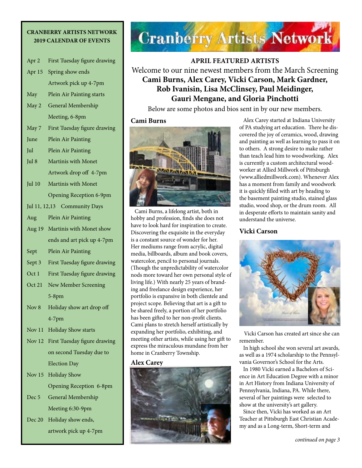#### **CRANBERRY ARTISTS NETWORK 2019 CALENDAR OF EVENTS**

- Apr 2 First Tuesday figure drawing
- Apr 15 Spring show ends Artwork pick up 4-7pm
- May Plein Air Painting starts
- May 2 General Membership Meeting, 6-8pm
- May 7 First Tuesday figure drawing
- June Plein Air Painting
- Jul Plein Air Painting
- Jul 8 Martinis with Monet Artwork drop off 4-7pm
- Jul 10 Martinis with Monet Opening Reception 6-9pm
- Jul 11, 12,13 Community Days
- Aug Plein Air Painting
- Aug 19 Martinis with Monet show ends and art pick up 4-7pm
- Sept Plein Air Painting
- Sept 3 First Tuesday figure drawing
- Oct 1 First Tuesday figure drawing
- Oct 21 New Member Screening 5-8pm
- Nov 8 Holiday show art drop off 4-7pm
- Nov 11 Holiday Show starts
- Nov 12 First Tuesday figure drawing on second Tuesday due to Election Day
- Nov 15 Holiday Show Opening Reception 6-8pm Dec 5 General Membership

Meeting 6:30-9pm

Dec 20 Holiday show ends, artwork pick up 4-7pm



**APRIL FEATURED ARTISTS** Welcome to our nine newest members from the March Screening **Cami Burns, Alex Carey, Vicki Carson, Mark Gardner, Rob Ivanisin, Lisa McClinsey, Paul Meidinger, Gauri Mengane, and Gloria Pinchotti** 

Below are some photos and bios sent in by our new members.

#### **Cami Burns**



 Cami Burns, a lifelong artist, both in hobby and profession, finds she does not have to look hard for inspiration to create. Discovering the exquisite in the everyday is a constant source of wonder for her. Her mediums range from acrylic, digital media, billboards, album and book covers, watercolor, pencil to personal journals. (Though the unpredictability of watercolor nods more toward her own personal style of living life.) With nearly 25 years of branding and freelance design experience, her portfolio is expansive in both clientele and project scope. Believing that art is a gift to be shared freely, a portion of her portfolio has been gifted to her non-profit clients. Cami plans to stretch herself artistically by expanding her portfolio, exhibiting, and meeting other artists, while using her gift to express the miraculous mundane from her home in Cranberry Township.

#### **Alex Carey**



 Alex Carey started at Indiana University of PA studying art education. There he discovered the joy of ceramics, wood, drawing and painting as well as learning to pass it on to others. A strong desire to make rather than teach lead him to woodworking. Alex is currently a custom architectural woodworker at Allied Millwork of Pittsburgh (www.alliedmillwork.com). Whenever Alex has a moment from family and woodwork it is quickly filled with art by heading to the basement painting studio, stained glass studio, wood shop, or the drum room. All in desperate efforts to maintain sanity and understand the universe.

## **Vicki Carson**



 Vicki Carson has created art since she can remember.

 In high school she won several art awards, as well as a 1974 scholarship to the Pennsylvania Governor's School for the Arts.

 In 1980 Vicki earned a Bachelors of Science in Art Education Degree with a minor in Art History from Indiana University of Pennsylvania, Indiana, PA. While there, several of her paintings were selected to show at the university's art gallery.

 Since then, Vicki has worked as an Art Teacher at Pittsburgh East Christian Academy and as a Long-term, Short-term and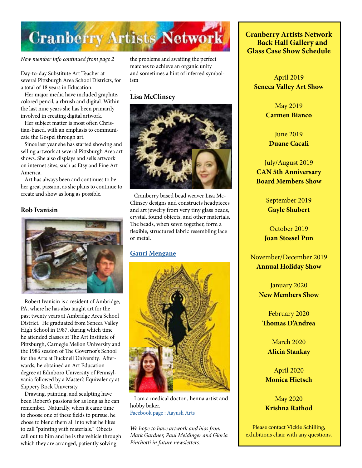

.

*New member info continued from page 2* 

Day-to-day Substitute Art Teacher at several Pittsburgh Area School Districts, for a total of 18 years in Education.

 Her major media have included graphite, colored pencil, airbrush and digital. Within the last nine years she has been primarily involved in creating digital artwork.

 Her subject matter is most often Christian-based, with an emphasis to communicate the Gospel through art.

 Since last year she has started showing and selling artwork at several Pittsburgh Area art shows. She also displays and sells artwork on internet sites, such as Etsy and Fine Art America.

 Art has always been and continues to be her great passion, as she plans to continue to create and show as long as possible.

#### **Rob Ivanisin**



 Robert Ivanisin is a resident of Ambridge, PA, where he has also taught art for the past twenty years at Ambridge Area School District. He graduated from Seneca Valley High School in 1987, during which time he attended classes at The Art Institute of Pittsburgh, Carnegie Mellon University and the 1986 session of The Governor's School for the Arts at Bucknell University. Afterwards, he obtained an Art Education degree at Edinboro University of Pennsylvania followed by a Master's Equivalency at Slippery Rock University.

 Drawing, painting, and sculpting have been Robert's passions for as long as he can remember. Naturally, when it came time to choose one of these fields to pursue, he chose to blend them all into what he likes to call "painting with materials." Obects call out to him and he is the vehicle through which they are arranged, patiently solving

the problems and awaiting the perfect matches to achieve an organic unity and sometimes a hint of inferred symbolism

#### **Lisa McClinsey**



 Cranberry based bead weaver Lisa Mc-Clinsey designs and constructs headpieces and art jewelry from very tiny glass beads, crystal, found objects, and other materials. The beads, when sewn together, form a flexible, structured fabric resembling lace or metal.

#### **[Gauri Mengane](https://www.facebook.com/ArtsAayush/)**



 I am a medical doctor , henna artist and hobby baker. [Facebook page : Aayush Arts](https://www.facebook.com/ArtsAayush) 

*We hope to have artwork and bios from Mark Gardner, Paul Meidinger and Gloria Pinchotti in future newsletters.*

**Cranberry Artists Network Back Hall Gallery and Glass Case Show Schedule** 

April 2019 **Seneca Valley Art Show**

> May 2019 **Carmen Bianco**

**June 2019 Duane Cacali**

July/August 2019 **CAN 5th Anniversary Board Members Show**

> September 2019 **Gayle Shubert**

October 2019 **Joan Stossel Pun**

November/December 2019 **Annual Holiday Show**

> January 2020 **New Members Show**

February 2020 **Thomas D'Andrea**

March 2020 **Alicia Stankay**

April 2020 **Monica Hietsch**

May 2020 **Krishna Rathod**

Please contact Vickie Schilling, exhibitions chair with any questions.